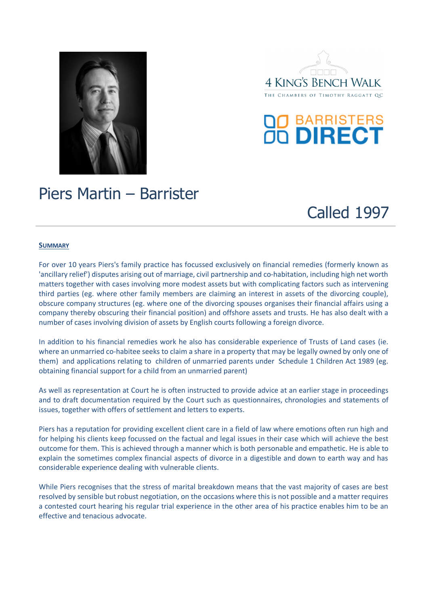





# Piers Martin – Barrister



## **SUMMARY**

For over 10 years Piers's family practice has focussed exclusively on financial remedies (formerly known as 'ancillary relief') disputes arising out of marriage, civil partnership and co-habitation, including high net worth matters together with cases involving more modest assets but with complicating factors such as intervening third parties (eg. where other family members are claiming an interest in assets of the divorcing couple), obscure company structures (eg. where one of the divorcing spouses organises their financial affairs using a company thereby obscuring their financial position) and offshore assets and trusts. He has also dealt with a number of cases involving division of assets by English courts following a foreign divorce.

In addition to his financial remedies work he also has considerable experience of Trusts of Land cases (ie. where an unmarried co-habitee seeks to claim a share in a property that may be legally owned by only one of them) and applications relating to children of unmarried parents under Schedule 1 Children Act 1989 (eg. obtaining financial support for a child from an unmarried parent)

As well as representation at Court he is often instructed to provide advice at an earlier stage in proceedings and to draft documentation required by the Court such as questionnaires, chronologies and statements of issues, together with offers of settlement and letters to experts.

Piers has a reputation for providing excellent client care in a field of law where emotions often run high and for helping his clients keep focussed on the factual and legal issues in their case which will achieve the best outcome for them. This is achieved through a manner which is both personable and empathetic. He is able to explain the sometimes complex financial aspects of divorce in a digestible and down to earth way and has considerable experience dealing with vulnerable clients.

While Piers recognises that the stress of marital breakdown means that the vast majority of cases are best resolved by sensible but robust negotiation, on the occasions where this is not possible and a matter requires a contested court hearing his regular trial experience in the other area of his practice enables him to be an effective and tenacious advocate.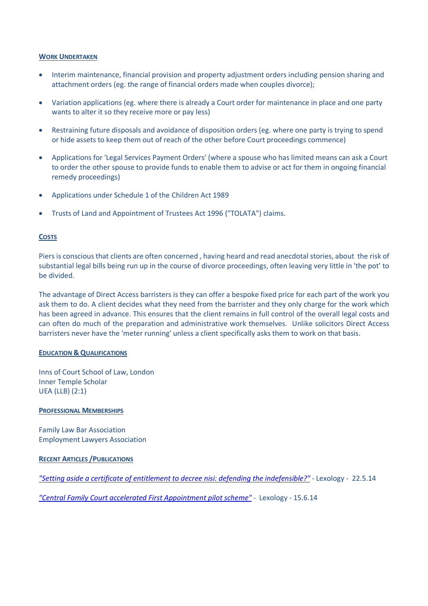## **WORK UNDERTAKEN**

- Interim maintenance, financial provision and property adjustment orders including pension sharing and attachment orders (eg. the range of financial orders made when couples divorce);
- Variation applications (eg. where there is already a Court order for maintenance in place and one party wants to alter it so they receive more or pay less)
- Restraining future disposals and avoidance of disposition orders (eg. where one party is trying to spend or hide assets to keep them out of reach of the other before Court proceedings commence)
- Applications for 'Legal Services Payment Orders' (where a spouse who has limited means can ask a Court to order the other spouse to provide funds to enable them to advise or act for them in ongoing financial remedy proceedings)
- Applications under Schedule 1 of the Children Act 1989
- Trusts of Land and Appointment of Trustees Act 1996 ("TOLATA") claims.

#### **COSTS**

Piers is conscious that clients are often concerned , having heard and read anecdotal stories, about the risk of substantial legal bills being run up in the course of divorce proceedings, often leaving very little in 'the pot' to be divided.

The advantage of Direct Access barristers is they can offer a bespoke fixed price for each part of the work you ask them to do. A client decides what they need from the barrister and they only charge for the work which has been agreed in advance. This ensures that the client remains in full control of the overall legal costs and can often do much of the preparation and administrative work themselves. Unlike solicitors Direct Access barristers never have the 'meter running' unless a client specifically asks them to work on that basis.

#### **EDUCATION & QUALIFICATIONS**

Inns of Court School of Law, London Inner Temple Scholar UEA (LLB) (2:1)

#### **PROFESSIONAL MEMBERSHIPS**

Family Law Bar Association Employment Lawyers Association

## **RECENT ARTICLES /PUBLICATIONS**

*"Setting aside a certificate of entitlement to decree nisi: defending the indefensible?" -* Lexology - 22.5.14

*"Central Family Court accelerated First Appointment pilot scheme" -* Lexology - 15.6.14